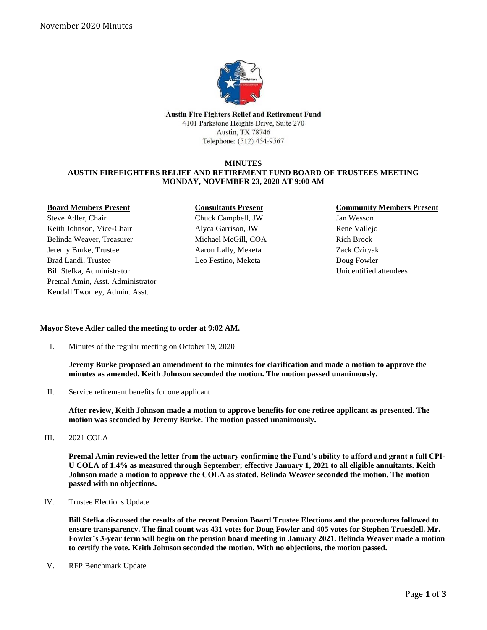

Austin Fire Fighters Relief and Retirement Fund 4101 Parkstone Heights Drive, Suite 270 Austin, TX 78746 Telephone: (512) 454-9567

### **MINUTES AUSTIN FIREFIGHTERS RELIEF AND RETIREMENT FUND BOARD OF TRUSTEES MEETING MONDAY, NOVEMBER 23, 2020 AT 9:00 AM**

### **Board Members Present**

Steve Adler, Chair Keith Johnson, Vice-Chair Belinda Weaver, Treasurer Jeremy Burke, Trustee Brad Landi, Trustee Bill Stefka, Administrator Premal Amin, Asst. Administrator Kendall Twomey, Admin. Asst.

## **Consultants Present** Chuck Campbell, JW Alyca Garrison, JW Michael McGill, COA Aaron Lally, Meketa Leo Festino, Meketa

## **Community Members Present**

Jan Wesson Rene Vallejo Rich Brock Zack Cziryak Doug Fowler Unidentified attendees

# **Mayor Steve Adler called the meeting to order at 9:02 AM.**

I. Minutes of the regular meeting on October 19, 2020

**Jeremy Burke proposed an amendment to the minutes for clarification and made a motion to approve the minutes as amended. Keith Johnson seconded the motion. The motion passed unanimously.**

II. Service retirement benefits for one applicant

**After review, Keith Johnson made a motion to approve benefits for one retiree applicant as presented. The motion was seconded by Jeremy Burke. The motion passed unanimously.** 

III. 2021 COLA

**Premal Amin reviewed the letter from the actuary confirming the Fund's ability to afford and grant a full CPI-U COLA of 1.4% as measured through September; effective January 1, 2021 to all eligible annuitants. Keith Johnson made a motion to approve the COLA as stated. Belinda Weaver seconded the motion. The motion passed with no objections.**

IV. Trustee Elections Update

**Bill Stefka discussed the results of the recent Pension Board Trustee Elections and the procedures followed to ensure transparency. The final count was 431 votes for Doug Fowler and 405 votes for Stephen Truesdell. Mr. Fowler's 3-year term will begin on the pension board meeting in January 2021. Belinda Weaver made a motion to certify the vote. Keith Johnson seconded the motion. With no objections, the motion passed.** 

V. RFP Benchmark Update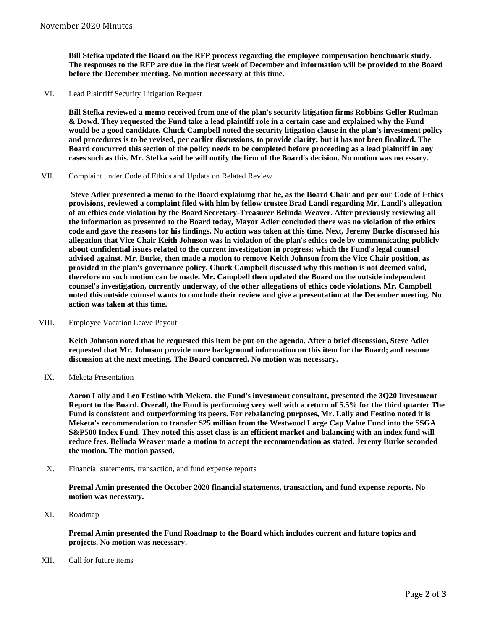**Bill Stefka updated the Board on the RFP process regarding the employee compensation benchmark study. The responses to the RFP are due in the first week of December and information will be provided to the Board before the December meeting. No motion necessary at this time.**

VI. Lead Plaintiff Security Litigation Request

**Bill Stefka reviewed a memo received from one of the plan's security litigation firms Robbins Geller Rudman & Dowd. They requested the Fund take a lead plaintiff role in a certain case and explained why the Fund would be a good candidate. Chuck Campbell noted the security litigation clause in the plan's investment policy and procedures is to be revised, per earlier discussions, to provide clarity; but it has not been finalized. The Board concurred this section of the policy needs to be completed before proceeding as a lead plaintiff in any cases such as this. Mr. Stefka said he will notify the firm of the Board's decision. No motion was necessary.**

VII. Complaint under Code of Ethics and Update on Related Review

**Steve Adler presented a memo to the Board explaining that he, as the Board Chair and per our Code of Ethics provisions, reviewed a complaint filed with him by fellow trustee Brad Landi regarding Mr. Landi's allegation of an ethics code violation by the Board Secretary-Treasurer Belinda Weaver. After previously reviewing all the information as presented to the Board today, Mayor Adler concluded there was no violation of the ethics code and gave the reasons for his findings. No action was taken at this time. Next, Jeremy Burke discussed his allegation that Vice Chair Keith Johnson was in violation of the plan's ethics code by communicating publicly about confidential issues related to the current investigation in progress; which the Fund's legal counsel advised against. Mr. Burke, then made a motion to remove Keith Johnson from the Vice Chair position, as provided in the plan's governance policy. Chuck Campbell discussed why this motion is not deemed valid, therefore no such motion can be made. Mr. Campbell then updated the Board on the outside independent counsel's investigation, currently underway, of the other allegations of ethics code violations. Mr. Campbell noted this outside counsel wants to conclude their review and give a presentation at the December meeting. No action was taken at this time.**

VIII. Employee Vacation Leave Payout

**Keith Johnson noted that he requested this item be put on the agenda. After a brief discussion, Steve Adler requested that Mr. Johnson provide more background information on this item for the Board; and resume discussion at the next meeting. The Board concurred. No motion was necessary.**

IX. Meketa Presentation

**Aaron Lally and Leo Festino with Meketa, the Fund's investment consultant, presented the 3Q20 Investment Report to the Board. Overall, the Fund is performing very well with a return of 5.5% for the third quarter The Fund is consistent and outperforming its peers. For rebalancing purposes, Mr. Lally and Festino noted it is Meketa's recommendation to transfer \$25 million from the Westwood Large Cap Value Fund into the SSGA S&P500 Index Fund. They noted this asset class is an efficient market and balancing with an index fund will reduce fees. Belinda Weaver made a motion to accept the recommendation as stated. Jeremy Burke seconded the motion. The motion passed.**

X. Financial statements, transaction, and fund expense reports

**Premal Amin presented the October 2020 financial statements, transaction, and fund expense reports. No motion was necessary.**

XI. Roadmap

**Premal Amin presented the Fund Roadmap to the Board which includes current and future topics and projects. No motion was necessary.**

XII. Call for future items